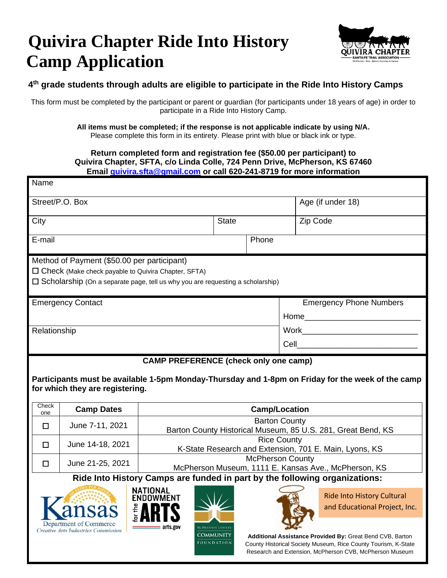## **Quivira Chapter Ride Into History Camp Application**

ë Alli d

 $=$  arts.gov

**COMMUNITY FOUNDATION** 

**Department of Commerce** 

Creative Arts Industries Commission



## **4 th grade students through adults are eligible to participate in the Ride Into History Camps**

This form must be completed by the participant or parent or guardian (for participants under 18 years of age) in order to participate in a Ride Into History Camp.

> **All items must be completed; if the response is not applicable indicate by using N/A.** Please complete this form in its entirety. Please print with blue or black ink or type.

## **Return completed form and registration fee (\$50.00 per participant) to Quivira Chapter, SFTA, c/o Linda Colle, 724 Penn Drive, McPherson, KS 67460 Email [quivira.sfta@gmail.com](mailto:quivira.sfta@gmail.com) or call 620-241-8719 for more information**

| Name                                                                                  |                                                            |                                              |              |                         |                                                                                                   |  |  |  |
|---------------------------------------------------------------------------------------|------------------------------------------------------------|----------------------------------------------|--------------|-------------------------|---------------------------------------------------------------------------------------------------|--|--|--|
| Street/P.O. Box                                                                       |                                                            |                                              |              |                         | Age (if under 18)                                                                                 |  |  |  |
| City                                                                                  |                                                            |                                              | <b>State</b> |                         | Zip Code                                                                                          |  |  |  |
| E-mail<br>Phone                                                                       |                                                            |                                              |              |                         |                                                                                                   |  |  |  |
| Method of Payment (\$50.00 per participant)                                           |                                                            |                                              |              |                         |                                                                                                   |  |  |  |
|                                                                                       | $\Box$ Check (Make check payable to Quivira Chapter, SFTA) |                                              |              |                         |                                                                                                   |  |  |  |
| $\Box$ Scholarship (On a separate page, tell us why you are requesting a scholarship) |                                                            |                                              |              |                         |                                                                                                   |  |  |  |
| <b>Emergency Contact</b>                                                              |                                                            |                                              |              |                         | <b>Emergency Phone Numbers</b>                                                                    |  |  |  |
|                                                                                       |                                                            |                                              |              |                         |                                                                                                   |  |  |  |
| Relationship                                                                          |                                                            |                                              |              |                         |                                                                                                   |  |  |  |
|                                                                                       |                                                            |                                              |              |                         | Cell _________________________                                                                    |  |  |  |
|                                                                                       |                                                            |                                              |              |                         |                                                                                                   |  |  |  |
|                                                                                       |                                                            |                                              |              |                         |                                                                                                   |  |  |  |
|                                                                                       | for which they are registering.                            | <b>CAMP PREFERENCE (check only one camp)</b> |              |                         | Participants must be available 1-5pm Monday-Thursday and 1-8pm on Friday for the week of the camp |  |  |  |
| Check<br>one                                                                          | <b>Camp Dates</b>                                          |                                              |              | <b>Camp/Location</b>    |                                                                                                   |  |  |  |
| П                                                                                     |                                                            |                                              |              | <b>Barton County</b>    |                                                                                                   |  |  |  |
|                                                                                       | June 7-11, 2021                                            |                                              |              |                         | Barton County Historical Museum, 85 U.S. 281, Great Bend, KS                                      |  |  |  |
| П                                                                                     | June 14-18, 2021                                           |                                              |              | <b>Rice County</b>      |                                                                                                   |  |  |  |
|                                                                                       |                                                            |                                              |              | <b>McPherson County</b> | K-State Research and Extension, 701 E. Main, Lyons, KS                                            |  |  |  |
| □                                                                                     | June 21-25, 2021                                           |                                              |              |                         | McPherson Museum, 1111 E. Kansas Ave., McPherson, KS                                              |  |  |  |
|                                                                                       |                                                            | NATIONAL                                     |              |                         | Ride Into History Camps are funded in part by the following organizations:                        |  |  |  |

**Additional Assistance Provided By:** Great Bend CVB, Barton County Historical Society Museum, Rice County Tourism, K-State Research and Extension, McPherson CVB, McPherson Museum